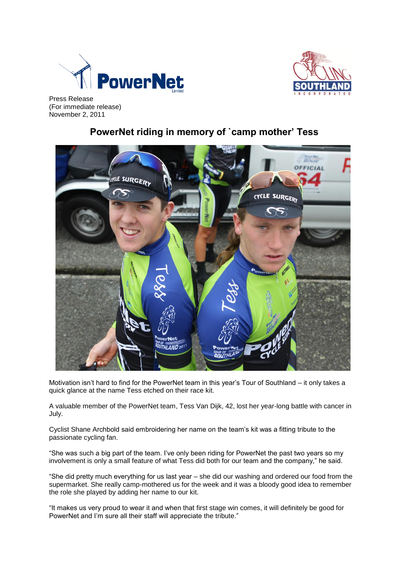



Press Release (For immediate release) November 2, 2011

## **PowerNet riding in memory of `camp mother' Tess**



Motivation isn't hard to find for the PowerNet team in this year's Tour of Southland – it only takes a quick glance at the name Tess etched on their race kit.

A valuable member of the PowerNet team, Tess Van Dijk, 42, lost her year-long battle with cancer in July.

Cyclist Shane Archbold said embroidering her name on the team's kit was a fitting tribute to the passionate cycling fan.

"She was such a big part of the team. I've only been riding for PowerNet the past two years so my involvement is only a small feature of what Tess did both for our team and the company," he said.

"She did pretty much everything for us last year – she did our washing and ordered our food from the supermarket. She really camp-mothered us for the week and it was a bloody good idea to remember the role she played by adding her name to our kit.

"It makes us very proud to wear it and when that first stage win comes, it will definitely be good for PowerNet and I'm sure all their staff will appreciate the tribute."